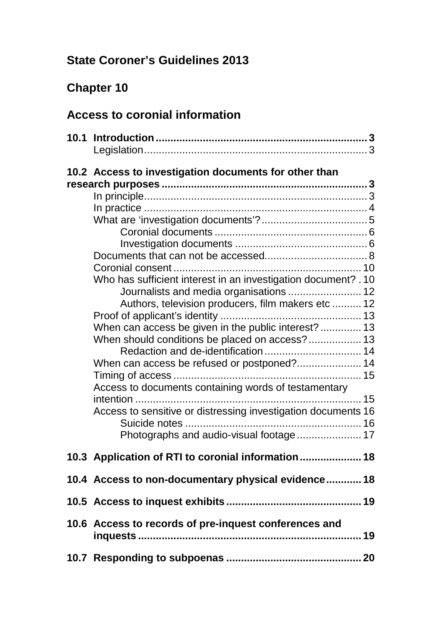# **State Coroner's Guidelines 2013**

# **Chapter 10**

# **Access to coronial information**

|                                                                                                                                                                                                                                                                                                                                                                                                                                                                                                                 | 3 |
|-----------------------------------------------------------------------------------------------------------------------------------------------------------------------------------------------------------------------------------------------------------------------------------------------------------------------------------------------------------------------------------------------------------------------------------------------------------------------------------------------------------------|---|
| 10.2 Access to investigation documents for other than<br>Who has sufficient interest in an investigation document? . 10<br>Journalists and media organisations  12<br>Authors, television producers, film makers etc  12<br>When can access be given in the public interest?  13<br>When should conditions be placed on access? 13<br>Redaction and de-identification  14<br>Access to documents containing words of testamentary<br>intention<br>Access to sensitive or distressing investigation documents 16 |   |
| 10.3 Application of RTI to coronial information 18                                                                                                                                                                                                                                                                                                                                                                                                                                                              |   |
| 10.4 Access to non-documentary physical evidence 18                                                                                                                                                                                                                                                                                                                                                                                                                                                             |   |
|                                                                                                                                                                                                                                                                                                                                                                                                                                                                                                                 |   |
| 10.6 Access to records of pre-inquest conferences and                                                                                                                                                                                                                                                                                                                                                                                                                                                           |   |
|                                                                                                                                                                                                                                                                                                                                                                                                                                                                                                                 |   |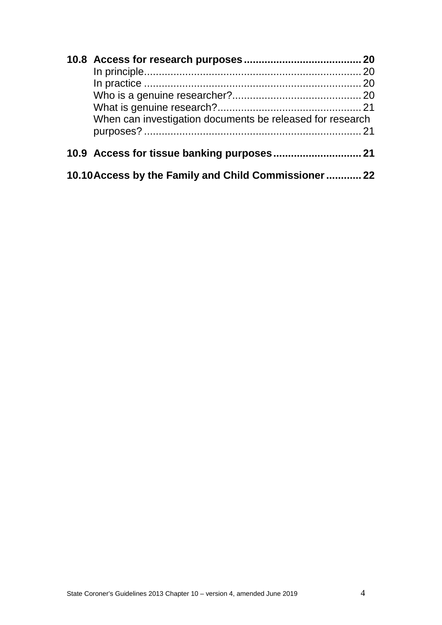|  | When can investigation documents be released for research |  |
|--|-----------------------------------------------------------|--|
|  |                                                           |  |
|  |                                                           |  |
|  | 10.10 Access by the Family and Child Commissioner  22     |  |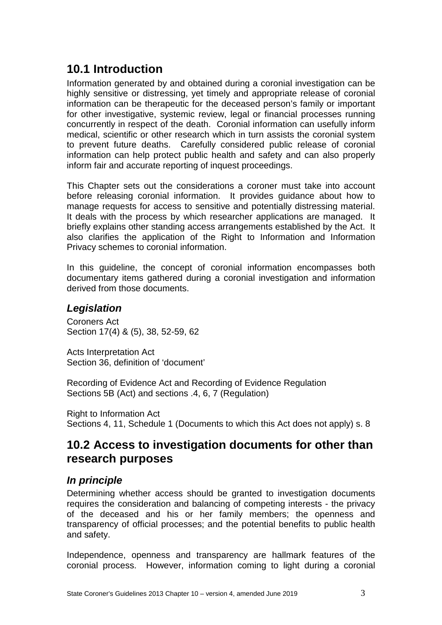## <span id="page-2-0"></span>**10.1 Introduction**

Information generated by and obtained during a coronial investigation can be highly sensitive or distressing, yet timely and appropriate release of coronial information can be therapeutic for the deceased person's family or important for other investigative, systemic review, legal or financial processes running concurrently in respect of the death. Coronial information can usefully inform medical, scientific or other research which in turn assists the coronial system to prevent future deaths. Carefully considered public release of coronial information can help protect public health and safety and can also properly inform fair and accurate reporting of inquest proceedings.

This Chapter sets out the considerations a coroner must take into account before releasing coronial information. It provides guidance about how to manage requests for access to sensitive and potentially distressing material. It deals with the process by which researcher applications are managed. It briefly explains other standing access arrangements established by the Act. It also clarifies the application of the Right to Information and Information Privacy schemes to coronial information.

In this guideline, the concept of coronial information encompasses both documentary items gathered during a coronial investigation and information derived from those documents.

### <span id="page-2-1"></span>*Legislation*

Coroners Act Section 17(4) & (5), 38, 52-59, 62

Acts Interpretation Act Section 36, definition of 'document'

Recording of Evidence Act and Recording of Evidence Regulation Sections 5B (Act) and sections .4, 6, 7 (Regulation)

Right to Information Act Sections 4, 11, Schedule 1 (Documents to which this Act does not apply) s. 8

## <span id="page-2-2"></span>**10.2 Access to investigation documents for other than research purposes**

### <span id="page-2-3"></span>*In principle*

Determining whether access should be granted to investigation documents requires the consideration and balancing of competing interests - the privacy of the deceased and his or her family members; the openness and transparency of official processes; and the potential benefits to public health and safety.

Independence, openness and transparency are hallmark features of the coronial process. However, information coming to light during a coronial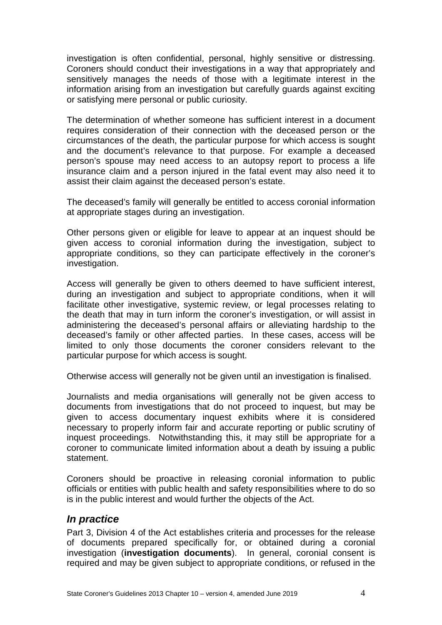investigation is often confidential, personal, highly sensitive or distressing. Coroners should conduct their investigations in a way that appropriately and sensitively manages the needs of those with a legitimate interest in the information arising from an investigation but carefully guards against exciting or satisfying mere personal or public curiosity.

The determination of whether someone has sufficient interest in a document requires consideration of their connection with the deceased person or the circumstances of the death, the particular purpose for which access is sought and the document's relevance to that purpose. For example a deceased person's spouse may need access to an autopsy report to process a life insurance claim and a person injured in the fatal event may also need it to assist their claim against the deceased person's estate.

The deceased's family will generally be entitled to access coronial information at appropriate stages during an investigation.

Other persons given or eligible for leave to appear at an inquest should be given access to coronial information during the investigation, subject to appropriate conditions, so they can participate effectively in the coroner's investigation.

Access will generally be given to others deemed to have sufficient interest, during an investigation and subject to appropriate conditions, when it will facilitate other investigative, systemic review, or legal processes relating to the death that may in turn inform the coroner's investigation, or will assist in administering the deceased's personal affairs or alleviating hardship to the deceased's family or other affected parties. In these cases, access will be limited to only those documents the coroner considers relevant to the particular purpose for which access is sought.

Otherwise access will generally not be given until an investigation is finalised.

Journalists and media organisations will generally not be given access to documents from investigations that do not proceed to inquest, but may be given to access documentary inquest exhibits where it is considered necessary to properly inform fair and accurate reporting or public scrutiny of inquest proceedings. Notwithstanding this, it may still be appropriate for a coroner to communicate limited information about a death by issuing a public statement.

Coroners should be proactive in releasing coronial information to public officials or entities with public health and safety responsibilities where to do so is in the public interest and would further the objects of the Act.

#### <span id="page-3-0"></span>*In practice*

Part 3, Division 4 of the Act establishes criteria and processes for the release of documents prepared specifically for, or obtained during a coronial investigation (**investigation documents**). In general, coronial consent is required and may be given subject to appropriate conditions, or refused in the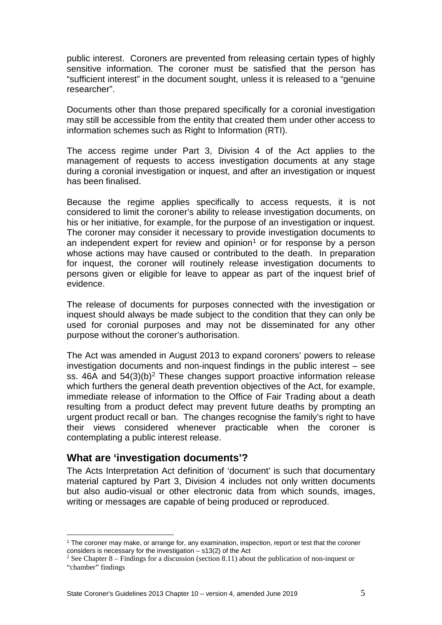public interest. Coroners are prevented from releasing certain types of highly sensitive information. The coroner must be satisfied that the person has "sufficient interest" in the document sought, unless it is released to a "genuine researcher".

Documents other than those prepared specifically for a coronial investigation may still be accessible from the entity that created them under other access to information schemes such as Right to Information (RTI).

The access regime under Part 3, Division 4 of the Act applies to the management of requests to access investigation documents at any stage during a coronial investigation or inquest, and after an investigation or inquest has been finalised.

Because the regime applies specifically to access requests, it is not considered to limit the coroner's ability to release investigation documents, on his or her initiative, for example, for the purpose of an investigation or inquest. The coroner may consider it necessary to provide investigation documents to an independent expert for review and opinion<sup>[1](#page-4-1)</sup> or for response by a person whose actions may have caused or contributed to the death. In preparation for inquest, the coroner will routinely release investigation documents to persons given or eligible for leave to appear as part of the inquest brief of evidence.

The release of documents for purposes connected with the investigation or inquest should always be made subject to the condition that they can only be used for coronial purposes and may not be disseminated for any other purpose without the coroner's authorisation.

The Act was amended in August 2013 to expand coroners' powers to release investigation documents and non-inquest findings in the public interest – see ss.  $46A$  and  $54(3)(b)^2$  $54(3)(b)^2$  These changes support proactive information release which furthers the general death prevention objectives of the Act, for example, immediate release of information to the Office of Fair Trading about a death resulting from a product defect may prevent future deaths by prompting an urgent product recall or ban. The changes recognise the family's right to have their views considered whenever practicable when the coroner is contemplating a public interest release.

### <span id="page-4-0"></span>**What are 'investigation documents'?**

<u>.</u>

The Acts Interpretation Act definition of 'document' is such that documentary material captured by Part 3, Division 4 includes not only written documents but also audio-visual or other electronic data from which sounds, images, writing or messages are capable of being produced or reproduced.

<span id="page-4-1"></span><sup>1</sup> The coroner may make, or arrange for, any examination, inspection, report or test that the coroner considers is necessary for the investigation – s13(2) of the Act

<span id="page-4-2"></span><sup>&</sup>lt;sup>2</sup> See Chapter 8 – Findings for a discussion (section 8.11) about the publication of non-inquest or "chamber" findings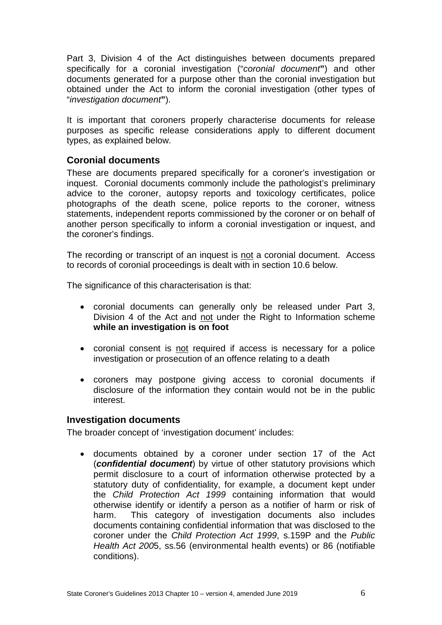Part 3, Division 4 of the Act distinguishes between documents prepared specifically for a coronial investigation ("*coronial document***"**) and other documents generated for a purpose other than the coronial investigation but obtained under the Act to inform the coronial investigation (other types of "*investigation document***"**).

It is important that coroners properly characterise documents for release purposes as specific release considerations apply to different document types, as explained below.

#### <span id="page-5-0"></span>**Coronial documents**

These are documents prepared specifically for a coroner's investigation or inquest. Coronial documents commonly include the pathologist's preliminary advice to the coroner, autopsy reports and toxicology certificates, police photographs of the death scene, police reports to the coroner, witness statements, independent reports commissioned by the coroner or on behalf of another person specifically to inform a coronial investigation or inquest, and the coroner's findings.

The recording or transcript of an inquest is not a coronial document. Access to records of coronial proceedings is dealt with in section 10.6 below.

The significance of this characterisation is that:

- coronial documents can generally only be released under Part 3, Division 4 of the Act and not under the Right to Information scheme **while an investigation is on foot**
- coronial consent is not required if access is necessary for a police investigation or prosecution of an offence relating to a death
- coroners may postpone giving access to coronial documents if disclosure of the information they contain would not be in the public interest.

#### <span id="page-5-1"></span>**Investigation documents**

The broader concept of 'investigation document' includes:

• documents obtained by a coroner under section 17 of the Act (*confidential document*) by virtue of other statutory provisions which permit disclosure to a court of information otherwise protected by a statutory duty of confidentiality, for example, a document kept under the *Child Protection Act 1999* containing information that would otherwise identify or identify a person as a notifier of harm or risk of harm. This category of investigation documents also includes documents containing confidential information that was disclosed to the coroner under the *Child Protection Act 1999*, s.159P and the *Public Health Act 200*5, ss.56 (environmental health events) or 86 (notifiable conditions).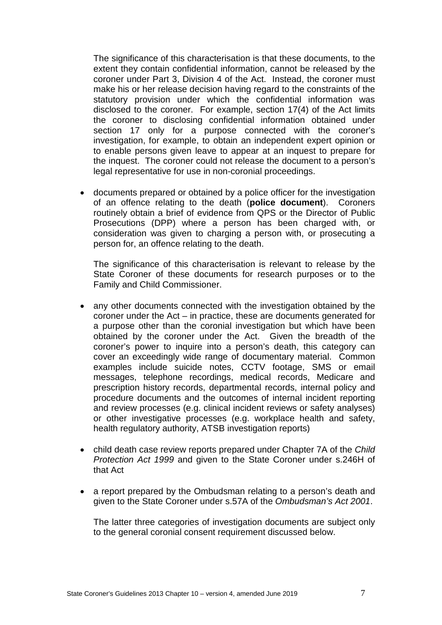The significance of this characterisation is that these documents, to the extent they contain confidential information, cannot be released by the coroner under Part 3, Division 4 of the Act. Instead, the coroner must make his or her release decision having regard to the constraints of the statutory provision under which the confidential information was disclosed to the coroner. For example, section 17(4) of the Act limits the coroner to disclosing confidential information obtained under section 17 only for a purpose connected with the coroner's investigation, for example, to obtain an independent expert opinion or to enable persons given leave to appear at an inquest to prepare for the inquest. The coroner could not release the document to a person's legal representative for use in non-coronial proceedings.

• documents prepared or obtained by a police officer for the investigation of an offence relating to the death (**police document**). Coroners routinely obtain a brief of evidence from QPS or the Director of Public Prosecutions (DPP) where a person has been charged with, or consideration was given to charging a person with, or prosecuting a person for, an offence relating to the death.

The significance of this characterisation is relevant to release by the State Coroner of these documents for research purposes or to the Family and Child Commissioner.

- any other documents connected with the investigation obtained by the coroner under the Act – in practice, these are documents generated for a purpose other than the coronial investigation but which have been obtained by the coroner under the Act. Given the breadth of the coroner's power to inquire into a person's death, this category can cover an exceedingly wide range of documentary material. Common examples include suicide notes, CCTV footage, SMS or email messages, telephone recordings, medical records, Medicare and prescription history records, departmental records, internal policy and procedure documents and the outcomes of internal incident reporting and review processes (e.g. clinical incident reviews or safety analyses) or other investigative processes (e.g. workplace health and safety, health regulatory authority, ATSB investigation reports)
- child death case review reports prepared under Chapter 7A of the *Child Protection Act 1999* and given to the State Coroner under s.246H of that Act
- a report prepared by the Ombudsman relating to a person's death and given to the State Coroner under s.57A of the *Ombudsman's Act 2001*.

The latter three categories of investigation documents are subject only to the general coronial consent requirement discussed below.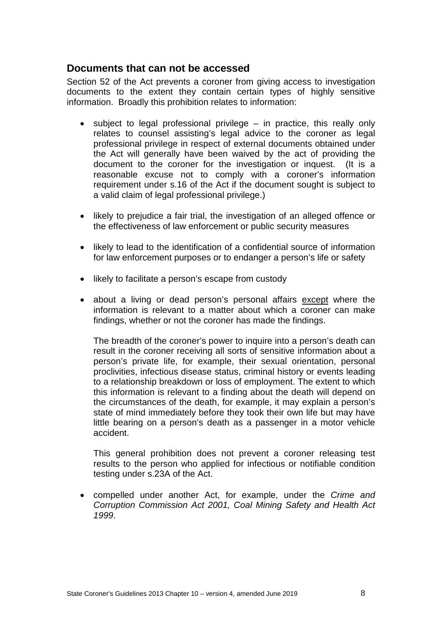#### <span id="page-7-0"></span>**Documents that can not be accessed**

Section 52 of the Act prevents a coroner from giving access to investigation documents to the extent they contain certain types of highly sensitive information. Broadly this prohibition relates to information:

- subject to legal professional privilege in practice, this really only relates to counsel assisting's legal advice to the coroner as legal professional privilege in respect of external documents obtained under the Act will generally have been waived by the act of providing the document to the coroner for the investigation or inquest. (It is a reasonable excuse not to comply with a coroner's information requirement under s.16 of the Act if the document sought is subject to a valid claim of legal professional privilege.)
- likely to prejudice a fair trial, the investigation of an alleged offence or the effectiveness of law enforcement or public security measures
- likely to lead to the identification of a confidential source of information for law enforcement purposes or to endanger a person's life or safety
- likely to facilitate a person's escape from custody
- about a living or dead person's personal affairs except where the information is relevant to a matter about which a coroner can make findings, whether or not the coroner has made the findings.

The breadth of the coroner's power to inquire into a person's death can result in the coroner receiving all sorts of sensitive information about a person's private life, for example, their sexual orientation, personal proclivities, infectious disease status, criminal history or events leading to a relationship breakdown or loss of employment. The extent to which this information is relevant to a finding about the death will depend on the circumstances of the death, for example, it may explain a person's state of mind immediately before they took their own life but may have little bearing on a person's death as a passenger in a motor vehicle accident.

This general prohibition does not prevent a coroner releasing test results to the person who applied for infectious or notifiable condition testing under s.23A of the Act.

• compelled under another Act, for example, under the *Crime and Corruption Commission Act 2001, Coal Mining Safety and Health Act 1999*.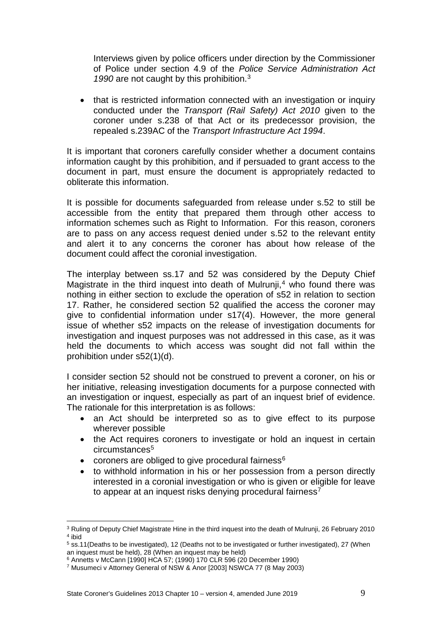Interviews given by police officers under direction by the Commissioner of Police under section 4.9 of the *Police Service Administration Act*  1990 are not caught by this prohibition.<sup>[3](#page-8-0)</sup>

• that is restricted information connected with an investigation or inquiry conducted under the *Transport (Rail Safety) Act 2010* given to the coroner under s.238 of that Act or its predecessor provision, the repealed s.239AC of the *Transport Infrastructure Act 1994*.

It is important that coroners carefully consider whether a document contains information caught by this prohibition, and if persuaded to grant access to the document in part, must ensure the document is appropriately redacted to obliterate this information.

It is possible for documents safeguarded from release under s.52 to still be accessible from the entity that prepared them through other access to information schemes such as Right to Information. For this reason, coroners are to pass on any access request denied under s.52 to the relevant entity and alert it to any concerns the coroner has about how release of the document could affect the coronial investigation.

The interplay between ss.17 and 52 was considered by the Deputy Chief Magistrate in the third inquest into death of Mulrunji,<sup>[4](#page-8-1)</sup> who found there was nothing in either section to exclude the operation of s52 in relation to section 17. Rather, he considered section 52 qualified the access the coroner may give to confidential information under s17(4). However, the more general issue of whether s52 impacts on the release of investigation documents for investigation and inquest purposes was not addressed in this case, as it was held the documents to which access was sought did not fall within the prohibition under s52(1)(d).

I consider section 52 should not be construed to prevent a coroner, on his or her initiative, releasing investigation documents for a purpose connected with an investigation or inquest, especially as part of an inquest brief of evidence. The rationale for this interpretation is as follows:

- an Act should be interpreted so as to give effect to its purpose wherever possible
- the Act requires coroners to investigate or hold an inquest in certain circumstances<sup>[5](#page-8-2)</sup>
- coroners are obliged to give procedural fairness $6$
- to withhold information in his or her possession from a person directly interested in a coronial investigation or who is given or eligible for leave to appear at an inquest risks denying procedural fairness<sup>[7](#page-8-4)</sup>

<span id="page-8-0"></span><sup>3</sup> Ruling of Deputy Chief Magistrate Hine in the third inquest into the death of Mulrunji, 26 February 2010 <sup>4</sup> ibid <u>.</u>

<span id="page-8-2"></span><span id="page-8-1"></span><sup>5</sup> ss.11(Deaths to be investigated), 12 (Deaths not to be investigated or further investigated), 27 (When an inquest must be held), 28 (When an inquest may be held)

<sup>6</sup> Annetts v McCann [1990] HCA 57; (1990) 170 CLR 596 (20 December 1990)

<span id="page-8-4"></span><span id="page-8-3"></span><sup>7</sup> Musumeci v Attorney General of NSW & Anor [2003] NSWCA 77 (8 May 2003)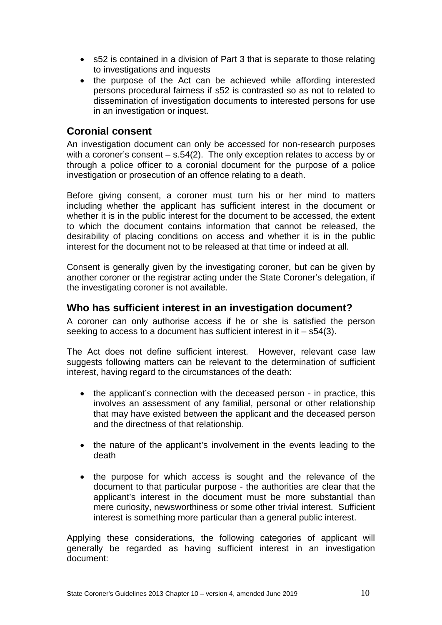- s52 is contained in a division of Part 3 that is separate to those relating to investigations and inquests
- the purpose of the Act can be achieved while affording interested persons procedural fairness if s52 is contrasted so as not to related to dissemination of investigation documents to interested persons for use in an investigation or inquest.

#### <span id="page-9-0"></span>**Coronial consent**

An investigation document can only be accessed for non-research purposes with a coroner's consent – s.54(2). The only exception relates to access by or through a police officer to a coronial document for the purpose of a police investigation or prosecution of an offence relating to a death.

Before giving consent, a coroner must turn his or her mind to matters including whether the applicant has sufficient interest in the document or whether it is in the public interest for the document to be accessed, the extent to which the document contains information that cannot be released, the desirability of placing conditions on access and whether it is in the public interest for the document not to be released at that time or indeed at all.

Consent is generally given by the investigating coroner, but can be given by another coroner or the registrar acting under the State Coroner's delegation, if the investigating coroner is not available.

#### <span id="page-9-1"></span>**Who has sufficient interest in an investigation document?**

A coroner can only authorise access if he or she is satisfied the person seeking to access to a document has sufficient interest in it – s54(3).

The Act does not define sufficient interest. However, relevant case law suggests following matters can be relevant to the determination of sufficient interest, having regard to the circumstances of the death:

- the applicant's connection with the deceased person in practice, this involves an assessment of any familial, personal or other relationship that may have existed between the applicant and the deceased person and the directness of that relationship.
- the nature of the applicant's involvement in the events leading to the death
- the purpose for which access is sought and the relevance of the document to that particular purpose - the authorities are clear that the applicant's interest in the document must be more substantial than mere curiosity, newsworthiness or some other trivial interest. Sufficient interest is something more particular than a general public interest.

Applying these considerations, the following categories of applicant will generally be regarded as having sufficient interest in an investigation document: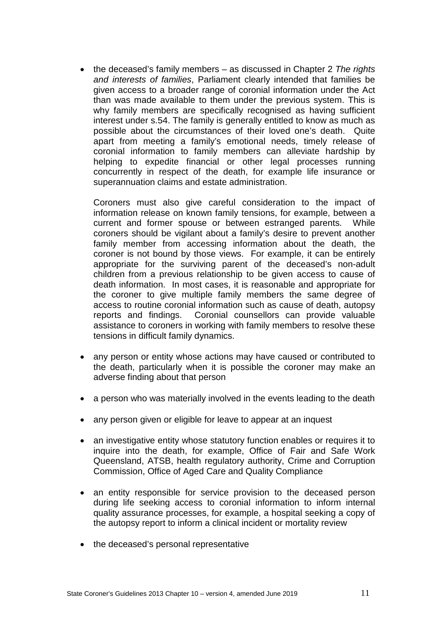• the deceased's family members – as discussed in Chapter 2 *The rights and interests of families*, Parliament clearly intended that families be given access to a broader range of coronial information under the Act than was made available to them under the previous system. This is why family members are specifically recognised as having sufficient interest under s.54. The family is generally entitled to know as much as possible about the circumstances of their loved one's death. Quite apart from meeting a family's emotional needs, timely release of coronial information to family members can alleviate hardship by helping to expedite financial or other legal processes running concurrently in respect of the death, for example life insurance or superannuation claims and estate administration.

Coroners must also give careful consideration to the impact of information release on known family tensions, for example, between a current and former spouse or between estranged parents. While coroners should be vigilant about a family's desire to prevent another family member from accessing information about the death, the coroner is not bound by those views. For example, it can be entirely appropriate for the surviving parent of the deceased's non-adult children from a previous relationship to be given access to cause of death information. In most cases, it is reasonable and appropriate for the coroner to give multiple family members the same degree of access to routine coronial information such as cause of death, autopsy reports and findings. Coronial counsellors can provide valuable assistance to coroners in working with family members to resolve these tensions in difficult family dynamics.

- any person or entity whose actions may have caused or contributed to the death, particularly when it is possible the coroner may make an adverse finding about that person
- a person who was materially involved in the events leading to the death
- any person given or eligible for leave to appear at an inquest
- an investigative entity whose statutory function enables or requires it to inquire into the death, for example, Office of Fair and Safe Work Queensland, ATSB, health regulatory authority, Crime and Corruption Commission, Office of Aged Care and Quality Compliance
- an entity responsible for service provision to the deceased person during life seeking access to coronial information to inform internal quality assurance processes, for example, a hospital seeking a copy of the autopsy report to inform a clinical incident or mortality review
- the deceased's personal representative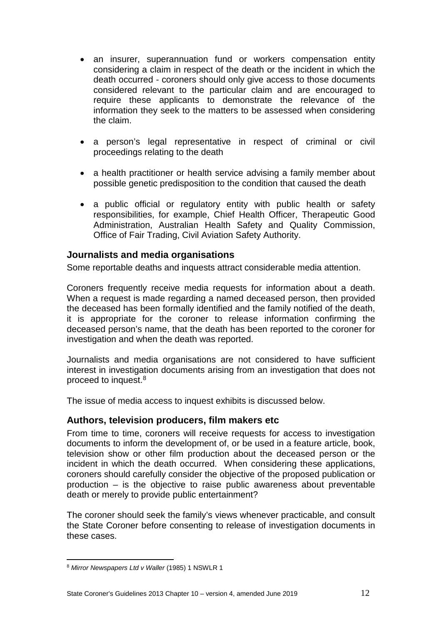- an insurer, superannuation fund or workers compensation entity considering a claim in respect of the death or the incident in which the death occurred - coroners should only give access to those documents considered relevant to the particular claim and are encouraged to require these applicants to demonstrate the relevance of the information they seek to the matters to be assessed when considering the claim.
- a person's legal representative in respect of criminal or civil proceedings relating to the death
- a health practitioner or health service advising a family member about possible genetic predisposition to the condition that caused the death
- a public official or regulatory entity with public health or safety responsibilities, for example, Chief Health Officer, Therapeutic Good Administration, Australian Health Safety and Quality Commission, Office of Fair Trading, Civil Aviation Safety Authority.

#### <span id="page-11-0"></span>**Journalists and media organisations**

Some reportable deaths and inquests attract considerable media attention.

Coroners frequently receive media requests for information about a death. When a request is made regarding a named deceased person, then provided the deceased has been formally identified and the family notified of the death, it is appropriate for the coroner to release information confirming the deceased person's name, that the death has been reported to the coroner for investigation and when the death was reported.

Journalists and media organisations are not considered to have sufficient interest in investigation documents arising from an investigation that does not proceed to inquest.[8](#page-11-2)

<span id="page-11-1"></span>The issue of media access to inquest exhibits is discussed below.

#### **Authors, television producers, film makers etc**

From time to time, coroners will receive requests for access to investigation documents to inform the development of, or be used in a feature article, book, television show or other film production about the deceased person or the incident in which the death occurred. When considering these applications, coroners should carefully consider the objective of the proposed publication or production – is the objective to raise public awareness about preventable death or merely to provide public entertainment?

The coroner should seek the family's views whenever practicable, and consult the State Coroner before consenting to release of investigation documents in these cases.

<span id="page-11-2"></span><sup>8</sup> *Mirror Newspapers Ltd v Waller* (1985) 1 NSWLR 1 <u>.</u>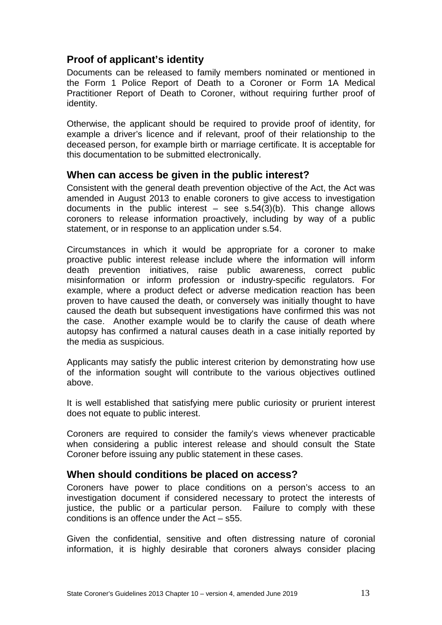### <span id="page-12-0"></span>**Proof of applicant's identity**

Documents can be released to family members nominated or mentioned in the Form 1 Police Report of Death to a Coroner or Form 1A Medical Practitioner Report of Death to Coroner, without requiring further proof of identity.

Otherwise, the applicant should be required to provide proof of identity, for example a driver's licence and if relevant, proof of their relationship to the deceased person, for example birth or marriage certificate. It is acceptable for this documentation to be submitted electronically.

#### <span id="page-12-1"></span>**When can access be given in the public interest?**

Consistent with the general death prevention objective of the Act, the Act was amended in August 2013 to enable coroners to give access to investigation documents in the public interest  $-$  see s.54(3)(b). This change allows coroners to release information proactively, including by way of a public statement, or in response to an application under s.54.

Circumstances in which it would be appropriate for a coroner to make proactive public interest release include where the information will inform death prevention initiatives, raise public awareness, correct public misinformation or inform profession or industry-specific regulators. For example, where a product defect or adverse medication reaction has been proven to have caused the death, or conversely was initially thought to have caused the death but subsequent investigations have confirmed this was not the case. Another example would be to clarify the cause of death where autopsy has confirmed a natural causes death in a case initially reported by the media as suspicious.

Applicants may satisfy the public interest criterion by demonstrating how use of the information sought will contribute to the various objectives outlined above.

It is well established that satisfying mere public curiosity or prurient interest does not equate to public interest.

Coroners are required to consider the family's views whenever practicable when considering a public interest release and should consult the State Coroner before issuing any public statement in these cases.

### <span id="page-12-2"></span>**When should conditions be placed on access?**

Coroners have power to place conditions on a person's access to an investigation document if considered necessary to protect the interests of justice, the public or a particular person. Failure to comply with these conditions is an offence under the Act – s55.

Given the confidential, sensitive and often distressing nature of coronial information, it is highly desirable that coroners always consider placing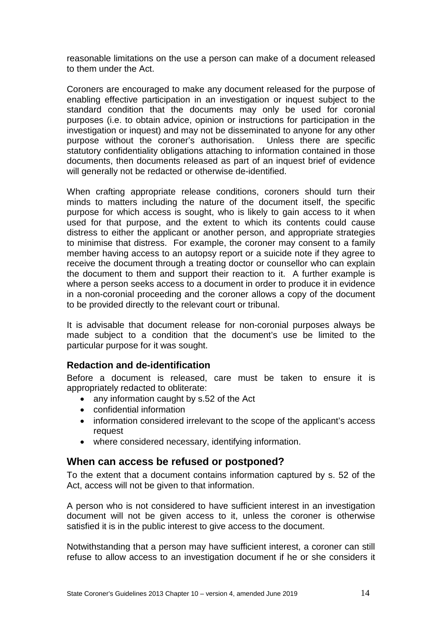reasonable limitations on the use a person can make of a document released to them under the Act.

Coroners are encouraged to make any document released for the purpose of enabling effective participation in an investigation or inquest subject to the standard condition that the documents may only be used for coronial purposes (i.e. to obtain advice, opinion or instructions for participation in the investigation or inquest) and may not be disseminated to anyone for any other purpose without the coroner's authorisation. Unless there are specific statutory confidentiality obligations attaching to information contained in those documents, then documents released as part of an inquest brief of evidence will generally not be redacted or otherwise de-identified.

When crafting appropriate release conditions, coroners should turn their minds to matters including the nature of the document itself, the specific purpose for which access is sought, who is likely to gain access to it when used for that purpose, and the extent to which its contents could cause distress to either the applicant or another person, and appropriate strategies to minimise that distress. For example, the coroner may consent to a family member having access to an autopsy report or a suicide note if they agree to receive the document through a treating doctor or counsellor who can explain the document to them and support their reaction to it. A further example is where a person seeks access to a document in order to produce it in evidence in a non-coronial proceeding and the coroner allows a copy of the document to be provided directly to the relevant court or tribunal.

It is advisable that document release for non-coronial purposes always be made subject to a condition that the document's use be limited to the particular purpose for it was sought.

#### <span id="page-13-0"></span>**Redaction and de-identification**

Before a document is released, care must be taken to ensure it is appropriately redacted to obliterate:

- any information caught by s.52 of the Act
- confidential information
- information considered irrelevant to the scope of the applicant's access request
- where considered necessary, identifying information.

#### <span id="page-13-1"></span>**When can access be refused or postponed?**

To the extent that a document contains information captured by s. 52 of the Act, access will not be given to that information.

A person who is not considered to have sufficient interest in an investigation document will not be given access to it, unless the coroner is otherwise satisfied it is in the public interest to give access to the document.

Notwithstanding that a person may have sufficient interest, a coroner can still refuse to allow access to an investigation document if he or she considers it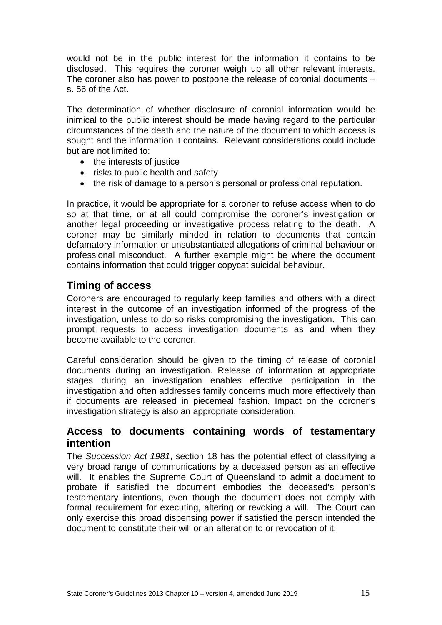would not be in the public interest for the information it contains to be disclosed. This requires the coroner weigh up all other relevant interests. The coroner also has power to postpone the release of coronial documents – s. 56 of the Act.

The determination of whether disclosure of coronial information would be inimical to the public interest should be made having regard to the particular circumstances of the death and the nature of the document to which access is sought and the information it contains. Relevant considerations could include but are not limited to:

- the interests of justice
- risks to public health and safety
- the risk of damage to a person's personal or professional reputation.

In practice, it would be appropriate for a coroner to refuse access when to do so at that time, or at all could compromise the coroner's investigation or another legal proceeding or investigative process relating to the death. A coroner may be similarly minded in relation to documents that contain defamatory information or unsubstantiated allegations of criminal behaviour or professional misconduct. A further example might be where the document contains information that could trigger copycat suicidal behaviour.

### <span id="page-14-0"></span>**Timing of access**

Coroners are encouraged to regularly keep families and others with a direct interest in the outcome of an investigation informed of the progress of the investigation, unless to do so risks compromising the investigation. This can prompt requests to access investigation documents as and when they become available to the coroner.

Careful consideration should be given to the timing of release of coronial documents during an investigation. Release of information at appropriate stages during an investigation enables effective participation in the investigation and often addresses family concerns much more effectively than if documents are released in piecemeal fashion. Impact on the coroner's investigation strategy is also an appropriate consideration.

### <span id="page-14-1"></span>**Access to documents containing words of testamentary intention**

The *Succession Act 1981*, section 18 has the potential effect of classifying a very broad range of communications by a deceased person as an effective will. It enables the Supreme Court of Queensland to admit a document to probate if satisfied the document embodies the deceased's person's testamentary intentions, even though the document does not comply with formal requirement for executing, altering or revoking a will. The Court can only exercise this broad dispensing power if satisfied the person intended the document to constitute their will or an alteration to or revocation of it.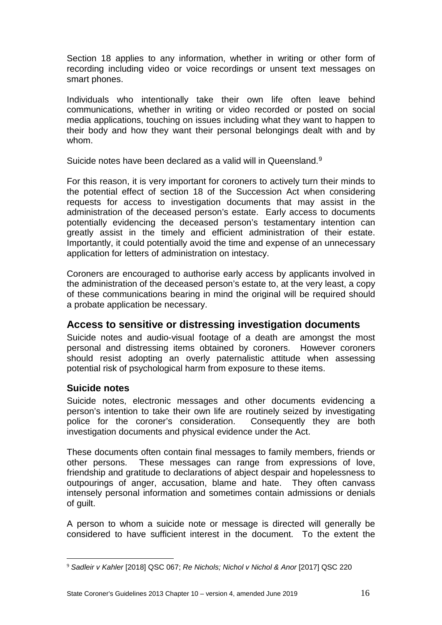Section 18 applies to any information, whether in writing or other form of recording including video or voice recordings or unsent text messages on smart phones.

Individuals who intentionally take their own life often leave behind communications, whether in writing or video recorded or posted on social media applications, touching on issues including what they want to happen to their body and how they want their personal belongings dealt with and by whom.

Suicide notes have been declared as a valid will in Queensland.<sup>[9](#page-15-2)</sup>

For this reason, it is very important for coroners to actively turn their minds to the potential effect of section 18 of the Succession Act when considering requests for access to investigation documents that may assist in the administration of the deceased person's estate. Early access to documents potentially evidencing the deceased person's testamentary intention can greatly assist in the timely and efficient administration of their estate. Importantly, it could potentially avoid the time and expense of an unnecessary application for letters of administration on intestacy.

Coroners are encouraged to authorise early access by applicants involved in the administration of the deceased person's estate to, at the very least, a copy of these communications bearing in mind the original will be required should a probate application be necessary.

### <span id="page-15-0"></span>**Access to sensitive or distressing investigation documents**

Suicide notes and audio-visual footage of a death are amongst the most personal and distressing items obtained by coroners. However coroners should resist adopting an overly paternalistic attitude when assessing potential risk of psychological harm from exposure to these items.

#### <span id="page-15-1"></span>**Suicide notes**

Suicide notes, electronic messages and other documents evidencing a person's intention to take their own life are routinely seized by investigating police for the coroner's consideration. Consequently they are both investigation documents and physical evidence under the Act.

These documents often contain final messages to family members, friends or other persons. These messages can range from expressions of love, friendship and gratitude to declarations of abject despair and hopelessness to outpourings of anger, accusation, blame and hate. They often canvass intensely personal information and sometimes contain admissions or denials of guilt.

A person to whom a suicide note or message is directed will generally be considered to have sufficient interest in the document. To the extent the

<span id="page-15-2"></span><sup>9</sup> *Sadleir v Kahler* [2018] QSC 067; *Re Nichols; Nichol v Nichol & Anor* [2017] QSC 220 <u>.</u>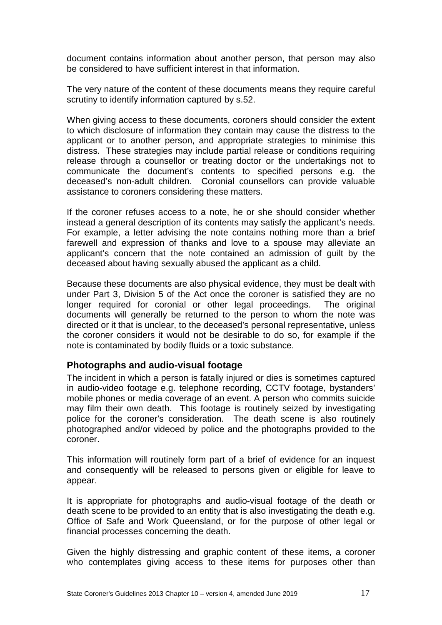document contains information about another person, that person may also be considered to have sufficient interest in that information.

The very nature of the content of these documents means they require careful scrutiny to identify information captured by s.52.

When giving access to these documents, coroners should consider the extent to which disclosure of information they contain may cause the distress to the applicant or to another person, and appropriate strategies to minimise this distress. These strategies may include partial release or conditions requiring release through a counsellor or treating doctor or the undertakings not to communicate the document's contents to specified persons e.g. the deceased's non-adult children. Coronial counsellors can provide valuable assistance to coroners considering these matters.

If the coroner refuses access to a note, he or she should consider whether instead a general description of its contents may satisfy the applicant's needs. For example, a letter advising the note contains nothing more than a brief farewell and expression of thanks and love to a spouse may alleviate an applicant's concern that the note contained an admission of guilt by the deceased about having sexually abused the applicant as a child.

Because these documents are also physical evidence, they must be dealt with under Part 3, Division 5 of the Act once the coroner is satisfied they are no longer required for coronial or other legal proceedings. The original documents will generally be returned to the person to whom the note was directed or it that is unclear, to the deceased's personal representative, unless the coroner considers it would not be desirable to do so, for example if the note is contaminated by bodily fluids or a toxic substance.

#### <span id="page-16-0"></span>**Photographs and audio-visual footage**

The incident in which a person is fatally injured or dies is sometimes captured in audio-video footage e.g. telephone recording, CCTV footage, bystanders' mobile phones or media coverage of an event. A person who commits suicide may film their own death. This footage is routinely seized by investigating police for the coroner's consideration. The death scene is also routinely photographed and/or videoed by police and the photographs provided to the coroner.

This information will routinely form part of a brief of evidence for an inquest and consequently will be released to persons given or eligible for leave to appear.

It is appropriate for photographs and audio-visual footage of the death or death scene to be provided to an entity that is also investigating the death e.g. Office of Safe and Work Queensland, or for the purpose of other legal or financial processes concerning the death.

Given the highly distressing and graphic content of these items, a coroner who contemplates giving access to these items for purposes other than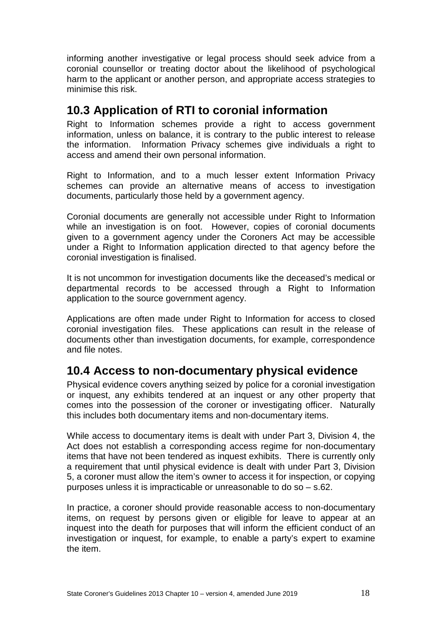informing another investigative or legal process should seek advice from a coronial counsellor or treating doctor about the likelihood of psychological harm to the applicant or another person, and appropriate access strategies to minimise this risk.

## <span id="page-17-0"></span>**10.3 Application of RTI to coronial information**

Right to Information schemes provide a right to access government information, unless on balance, it is contrary to the public interest to release the information. Information Privacy schemes give individuals a right to access and amend their own personal information.

Right to Information, and to a much lesser extent Information Privacy schemes can provide an alternative means of access to investigation documents, particularly those held by a government agency.

Coronial documents are generally not accessible under Right to Information while an investigation is on foot. However, copies of coronial documents given to a government agency under the Coroners Act may be accessible under a Right to Information application directed to that agency before the coronial investigation is finalised.

It is not uncommon for investigation documents like the deceased's medical or departmental records to be accessed through a Right to Information application to the source government agency.

Applications are often made under Right to Information for access to closed coronial investigation files. These applications can result in the release of documents other than investigation documents, for example, correspondence and file notes.

## <span id="page-17-1"></span>**10.4 Access to non-documentary physical evidence**

Physical evidence covers anything seized by police for a coronial investigation or inquest, any exhibits tendered at an inquest or any other property that comes into the possession of the coroner or investigating officer. Naturally this includes both documentary items and non-documentary items.

While access to documentary items is dealt with under Part 3, Division 4, the Act does not establish a corresponding access regime for non-documentary items that have not been tendered as inquest exhibits. There is currently only a requirement that until physical evidence is dealt with under Part 3, Division 5, a coroner must allow the item's owner to access it for inspection, or copying purposes unless it is impracticable or unreasonable to do so – s.62.

In practice, a coroner should provide reasonable access to non-documentary items, on request by persons given or eligible for leave to appear at an inquest into the death for purposes that will inform the efficient conduct of an investigation or inquest, for example, to enable a party's expert to examine the item.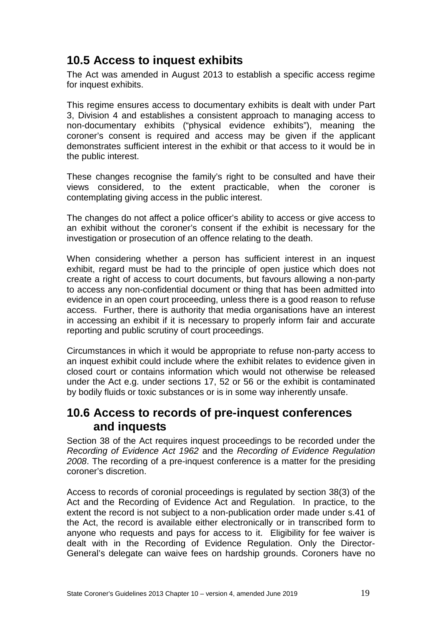## <span id="page-18-0"></span>**10.5 Access to inquest exhibits**

The Act was amended in August 2013 to establish a specific access regime for inquest exhibits.

This regime ensures access to documentary exhibits is dealt with under Part 3, Division 4 and establishes a consistent approach to managing access to non-documentary exhibits ("physical evidence exhibits"), meaning the coroner's consent is required and access may be given if the applicant demonstrates sufficient interest in the exhibit or that access to it would be in the public interest.

These changes recognise the family's right to be consulted and have their views considered, to the extent practicable, when the coroner is contemplating giving access in the public interest.

The changes do not affect a police officer's ability to access or give access to an exhibit without the coroner's consent if the exhibit is necessary for the investigation or prosecution of an offence relating to the death.

When considering whether a person has sufficient interest in an inquest exhibit, regard must be had to the principle of open justice which does not create a right of access to court documents, but favours allowing a non-party to access any non-confidential document or thing that has been admitted into evidence in an open court proceeding, unless there is a good reason to refuse access. Further, there is authority that media organisations have an interest in accessing an exhibit if it is necessary to properly inform fair and accurate reporting and public scrutiny of court proceedings.

Circumstances in which it would be appropriate to refuse non-party access to an inquest exhibit could include where the exhibit relates to evidence given in closed court or contains information which would not otherwise be released under the Act e.g. under sections 17, 52 or 56 or the exhibit is contaminated by bodily fluids or toxic substances or is in some way inherently unsafe.

## <span id="page-18-1"></span>**10.6 Access to records of pre-inquest conferences and inquests**

Section 38 of the Act requires inquest proceedings to be recorded under the *Recording of Evidence Act 1962* and the *Recording of Evidence Regulation 2008*. The recording of a pre-inquest conference is a matter for the presiding coroner's discretion.

Access to records of coronial proceedings is regulated by section 38(3) of the Act and the Recording of Evidence Act and Regulation. In practice, to the extent the record is not subject to a non-publication order made under s.41 of the Act, the record is available either electronically or in transcribed form to anyone who requests and pays for access to it. Eligibility for fee waiver is dealt with in the Recording of Evidence Regulation. Only the Director-General's delegate can waive fees on hardship grounds. Coroners have no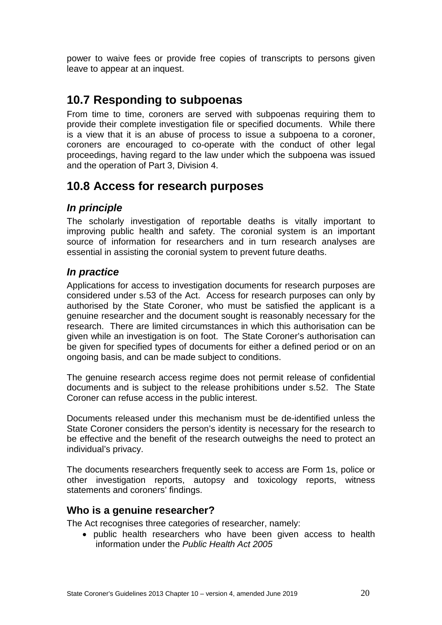power to waive fees or provide free copies of transcripts to persons given leave to appear at an inquest.

## <span id="page-19-0"></span>**10.7 Responding to subpoenas**

From time to time, coroners are served with subpoenas requiring them to provide their complete investigation file or specified documents. While there is a view that it is an abuse of process to issue a subpoena to a coroner, coroners are encouraged to co-operate with the conduct of other legal proceedings, having regard to the law under which the subpoena was issued and the operation of Part 3, Division 4.

## <span id="page-19-1"></span>**10.8 Access for research purposes**

### <span id="page-19-2"></span>*In principle*

The scholarly investigation of reportable deaths is vitally important to improving public health and safety. The coronial system is an important source of information for researchers and in turn research analyses are essential in assisting the coronial system to prevent future deaths.

### <span id="page-19-3"></span>*In practice*

Applications for access to investigation documents for research purposes are considered under s.53 of the Act. Access for research purposes can only by authorised by the State Coroner, who must be satisfied the applicant is a genuine researcher and the document sought is reasonably necessary for the research. There are limited circumstances in which this authorisation can be given while an investigation is on foot. The State Coroner's authorisation can be given for specified types of documents for either a defined period or on an ongoing basis, and can be made subject to conditions.

The genuine research access regime does not permit release of confidential documents and is subject to the release prohibitions under s.52. The State Coroner can refuse access in the public interest.

Documents released under this mechanism must be de-identified unless the State Coroner considers the person's identity is necessary for the research to be effective and the benefit of the research outweighs the need to protect an individual's privacy.

The documents researchers frequently seek to access are Form 1s, police or other investigation reports, autopsy and toxicology reports, witness statements and coroners' findings.

### <span id="page-19-4"></span>**Who is a genuine researcher?**

The Act recognises three categories of researcher, namely:

• public health researchers who have been given access to health information under the *Public Health Act 2005*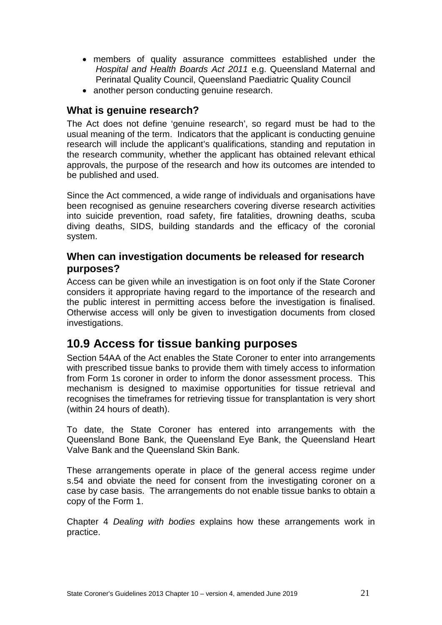- members of quality assurance committees established under the *Hospital and Health Boards Act 2011* e.g. Queensland Maternal and Perinatal Quality Council, Queensland Paediatric Quality Council
- another person conducting genuine research.

### <span id="page-20-0"></span>**What is genuine research?**

The Act does not define 'genuine research', so regard must be had to the usual meaning of the term. Indicators that the applicant is conducting genuine research will include the applicant's qualifications, standing and reputation in the research community, whether the applicant has obtained relevant ethical approvals, the purpose of the research and how its outcomes are intended to be published and used.

Since the Act commenced, a wide range of individuals and organisations have been recognised as genuine researchers covering diverse research activities into suicide prevention, road safety, fire fatalities, drowning deaths, scuba diving deaths, SIDS, building standards and the efficacy of the coronial system.

### <span id="page-20-1"></span>**When can investigation documents be released for research purposes?**

Access can be given while an investigation is on foot only if the State Coroner considers it appropriate having regard to the importance of the research and the public interest in permitting access before the investigation is finalised. Otherwise access will only be given to investigation documents from closed investigations.

## <span id="page-20-2"></span>**10.9 Access for tissue banking purposes**

Section 54AA of the Act enables the State Coroner to enter into arrangements with prescribed tissue banks to provide them with timely access to information from Form 1s coroner in order to inform the donor assessment process. This mechanism is designed to maximise opportunities for tissue retrieval and recognises the timeframes for retrieving tissue for transplantation is very short (within 24 hours of death).

To date, the State Coroner has entered into arrangements with the Queensland Bone Bank, the Queensland Eye Bank, the Queensland Heart Valve Bank and the Queensland Skin Bank.

These arrangements operate in place of the general access regime under s.54 and obviate the need for consent from the investigating coroner on a case by case basis. The arrangements do not enable tissue banks to obtain a copy of the Form 1.

Chapter 4 *Dealing with bodies* explains how these arrangements work in practice.